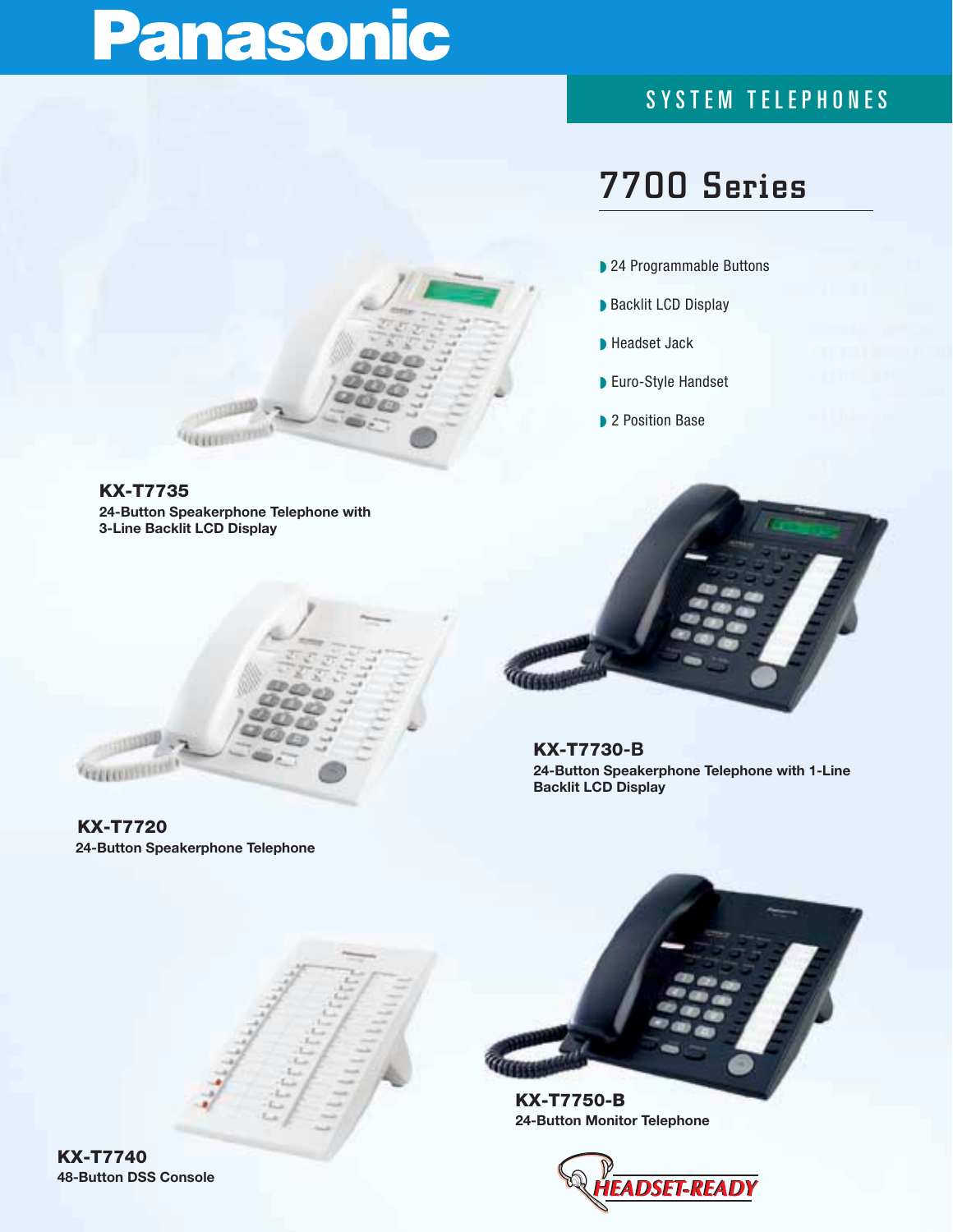# Panasonic

### SYSTEM TELEPHONES

## **7700 Series**

- 24 Programmable Buttons
- Backlit LCD Display
- ◗ Headset Jack
- Euro-Style Handset
- ▶ 2 Position Base

**KX-T7735 24-Button Speakerphone Telephone with 3-Line Backlit LCD Display** 



**KX-T7720 24-Button Speakerphone Telephone**



**KX-T7730-B 24-Button Speakerphone Telephone with 1-Line Backlit LCD Display**



**KX-T7750-B 24-Button Monitor Telephone**



**KX-T7740 48-Button DSS Console**